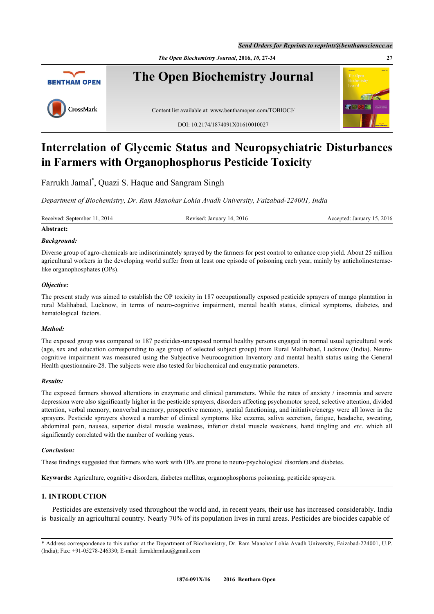*Send Orders for Reprints to reprints@benthamscience.ae*

*The Open Biochemistry Journal***, 2016,** *10***, 27-34 27**



# **Interrelation of Glycemic Status and Neuropsychiatric Disturbances in Farmers with Organophosphorus Pesticide Toxicity**

Farrukh Jamal[\\*](#page-0-0) , Quazi S. Haque and Sangram Singh

*Department of Biochemistry, Dr. Ram Manohar Lohia Avadh University, Faizabad-224001, India*

Received: September 11, 2014 Revised: January 14, 2016 Accepted: January 15, 2016

# **Abstract:**

# *Background:*

Diverse group of agro-chemicals are indiscriminately sprayed by the farmers for pest control to enhance crop yield. About 25 million agricultural workers in the developing world suffer from at least one episode of poisoning each year, mainly by anticholinesteraselike organophosphates (OPs).

# *Objective:*

The present study was aimed to establish the OP toxicity in 187 occupationally exposed pesticide sprayers of mango plantation in rural Malihabad, Lucknow, in terms of neuro-cognitive impairment, mental health status, clinical symptoms, diabetes, and hematological factors.

## *Method:*

The exposed group was compared to 187 pesticides-unexposed normal healthy persons engaged in normal usual agricultural work (age, sex and education corresponding to age group of selected subject group) from Rural Malihabad, Lucknow (India). Neurocognitive impairment was measured using the Subjective Neurocognition Inventory and mental health status using the General Health questionnaire-28. The subjects were also tested for biochemical and enzymatic parameters.

## *Results:*

The exposed farmers showed alterations in enzymatic and clinical parameters. While the rates of anxiety / insomnia and severe depression were also significantly higher in the pesticide sprayers, disorders affecting psychomotor speed, selective attention, divided attention, verbal memory, nonverbal memory, prospective memory, spatial functioning, and initiative/energy were all lower in the sprayers. Pesticide sprayers showed a number of clinical symptoms like eczema, saliva secretion, fatigue, headache, sweating, abdominal pain, nausea, superior distal muscle weakness, inferior distal muscle weakness, hand tingling and *etc*. which all significantly correlated with the number of working years.

# *Conclusion:*

These findings suggested that farmers who work with OPs are prone to neuro-psychological disorders and diabetes.

**Keywords:** Agriculture, cognitive disorders, diabetes mellitus, organophosphorus poisoning, pesticide sprayers.

# **1. INTRODUCTION**

Pesticides are extensively used throughout the world and, in recent years, their use has increased considerably. India is basically an agricultural country. Nearly 70% of its population lives in rural areas. Pesticides are biocides capable of

<span id="page-0-0"></span><sup>\*</sup> Address correspondence to this author at the Department of Biochemistry, Dr. Ram Manohar Lohia Avadh University, Faizabad-224001, U.P. (India); Fax: +91-05278-246330; E-mail: [farrukhrmlau@gmail.com](mailto:farrukhrmlau@gmail.com)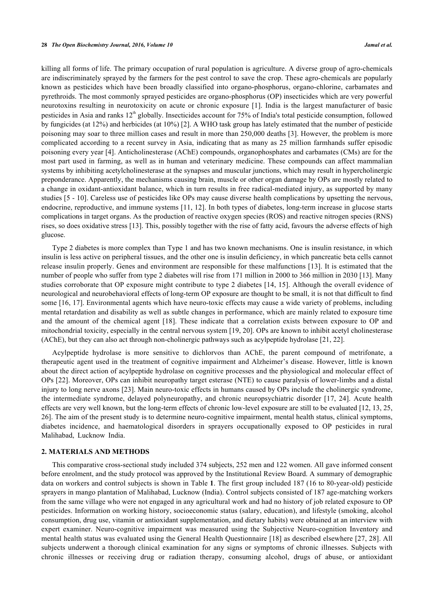killing all forms of life. The primary occupation of rural population is agriculture. A diverse group of agro-chemicals are indiscriminately sprayed by the farmers for the pest control to save the crop. These agro-chemicals are popularly known as pesticides which have been broadly classified into organo-phosphorus, organo-chlorine, carbamates and pyrethroids. The most commonly sprayed pesticides are organo-phosphorus (OP) insecticides which are very powerful neurotoxins resulting in neurotoxicity on acute or chronic exposure [[1](#page-5-0)]. India is the largest manufacturer of basic pesticides in Asia and ranks 12<sup>th</sup> globally. Insecticides account for 75% of India's total pesticide consumption, followed by fungicides (at 12%) and herbicides (at 10%) [[2\]](#page-5-1). A WHO task group has lately estimated that the number of pesticide poisoning may soar to three million cases and result in more than 250,000 deaths [[3\]](#page-5-2). However, the problem is more complicated according to a recent survey in Asia, indicating that as many as 25 million farmhands suffer episodic poisoning every year [[4](#page-5-3)]. Anticholinesterase (AChE) compounds, organophosphates and carbamates (CMs) are for the most part used in farming, as well as in human and veterinary medicine. These compounds can affect mammalian systems by inhibiting acetylcholinesterase at the synapses and muscular junctions, which may result in hypercholinergic preponderance. Apparently, the mechanisms causing brain, muscle or other organ damage by OPs are mostly related to a change in oxidant-antioxidant balance, which in turn results in free radical-mediated injury, as supported by many studies [\[5](#page-5-4) - [10](#page-5-5)]. Careless use of pesticides like OPs may cause diverse health complications by upsetting the nervous, endocrine, reproductive, and immune systems [\[11,](#page-5-6) [12](#page-5-7)]. In both types of diabetes, long-term increase in glucose starts complications in target organs. As the production of reactive oxygen species (ROS) and reactive nitrogen species (RNS) rises, so does oxidative stress [[13\]](#page-5-8). This, possibly together with the rise of fatty acid, favours the adverse effects of high glucose.

Type 2 diabetes is more complex than Type 1 and has two known mechanisms. One is insulin resistance, in which insulin is less active on peripheral tissues, and the other one is insulin deficiency, in which pancreatic beta cells cannot release insulin properly. Genes and environment are responsible for these malfunctions [\[13](#page-5-8)]. It is estimated that the number of people who suffer from type 2 diabetes will rise from 171 million in 2000 to 366 million in 2030 [[13\]](#page-5-8). Many studies corroborate that OP exposure might contribute to type 2 diabetes [[14](#page-5-9), [15](#page-5-10)]. Although the overall evidence of neurological and neurobehavioral effects of long-term OP exposure are thought to be small, it is not that difficult to find some [\[16](#page-6-0), [17\]](#page-6-1). Environmental agents which have neuro-toxic effects may cause a wide variety of problems, including mental retardation and disability as well as subtle changes in performance, which are mainly related to exposure time and the amount of the chemical agent[[18\]](#page-6-2). These indicate that a correlation exists between exposure to OP and mitochondrial toxicity, especially in the central nervous system [[19](#page-6-3)[, 20](#page-6-4)]. OPs are known to inhibit acetyl cholinesterase (AChE), but they can also act through non-cholinergic pathways such as acylpeptide hydrolase [\[21](#page-6-5), [22](#page-6-6)].

Acylpeptide hydrolase is more sensitive to dichlorvos than AChE, the parent compound of metrifonate, a therapeutic agent used in the treatment of cognitive impairment and Alzheimer's disease. However, little is known about the direct action of acylpeptide hydrolase on cognitive processes and the physiological and molecular effect of OPs [[22](#page-6-6)]. Moreover, OPs can inhibit neuropathy target esterase (NTE) to cause paralysis of lower-limbs and a distal injury to long nerve axons [\[23](#page-6-7)]. Main neuro-toxic effects in humans caused by OPs include the cholinergic syndrome, the intermediate syndrome, delayed polyneuropathy, and chronic neuropsychiatric disorder [\[17,](#page-6-1) [24](#page-6-8)]. Acute health effects are very well known, but the long-term effects of chronic low-level exposure are still to be evaluated [[12](#page-5-7)[, 13](#page-5-8), [25](#page-6-9), [26\]](#page-6-10). The aim of the present study is to determine neuro-cognitive impairment, mental health status, clinical symptoms, diabetes incidence, and haematological disorders in sprayers occupationally exposed to OP pesticides in rural Malihabad, Lucknow India.

## **2. MATERIALS AND METHODS**

This comparative cross-sectional study included 374 subjects, 252 men and 122 women. All gave informed consent before enrolment, and the study protocol was approved by the Institutional Review Board. A summary of demographic data on workers and control subjects is shown in Table **[1](#page-2-0)**. The first group included 187 (16 to 80-year-old) pesticide sprayers in mango plantation of Malihabad, Lucknow (India). Control subjects consisted of 187 age-matching workers from the same village who were not engaged in any agricultural work and had no history of job related exposure to OP pesticides. Information on working history, socioeconomic status (salary, education), and lifestyle (smoking, alcohol consumption, drug use, vitamin or antioxidant supplementation, and dietary habits) were obtained at an interview with expert examiner. Neuro-cognitive impairment was measured using the Subjective Neuro-cognition Inventory and mental health status was evaluated using the General Health Questionnaire [[18](#page-6-2)] as described elsewhere [[27](#page-6-11)[, 28\]](#page-6-12). All subjects underwent a thorough clinical examination for any signs or symptoms of chronic illnesses. Subjects with chronic illnesses or receiving drug or radiation therapy, consuming alcohol, drugs of abuse, or antioxidant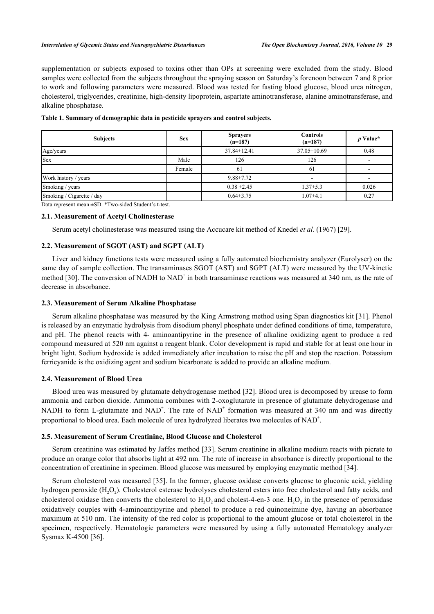supplementation or subjects exposed to toxins other than OPs at screening were excluded from the study. Blood samples were collected from the subjects throughout the spraying season on Saturday's forenoon between 7 and 8 prior to work and following parameters were measured. Blood was tested for fasting blood glucose, blood urea nitrogen, cholesterol, triglycerides, creatinine, high-density lipoprotein, aspartate aminotransferase, alanine aminotransferase, and alkaline phosphatase.

| <b>Sex</b> | <b>Sprayers</b><br>$(n=187)$ | <b>Controls</b><br>$(n=187)$ | $p$ Value* |
|------------|------------------------------|------------------------------|------------|
|            | $37.84 \pm 12.41$            | $37.05 \pm 10.69$            | 0.48       |
| Male       | 126                          | 126                          |            |
| Female     | 61                           | 61                           |            |
|            | $9.88 \pm 7.72$              |                              |            |
|            | $0.38 \pm 2.45$              | $1.37 \pm 5.3$               | 0.026      |
|            | $0.64 \pm 3.75$              | $1.07\pm4.1$                 | 0.27       |
|            |                              |                              |            |

<span id="page-2-0"></span>

|  |  |  |  | Table 1. Summary of demographic data in pesticide sprayers and control subjects. |  |  |
|--|--|--|--|----------------------------------------------------------------------------------|--|--|
|--|--|--|--|----------------------------------------------------------------------------------|--|--|

Data represent mean ±SD. \*Two-sided Student's t-test.

### **2.1. Measurement of Acetyl Cholinesterase**

Serum acetyl cholinesterase was measured using the Accucare kit method of Knedel *et al.* (1967) [[29\]](#page-6-13).

# **2.2. Measurement of SGOT (AST) and SGPT (ALT)**

Liver and kidney functions tests were measured using a fully automated biochemistry analyzer (Eurolyser) on the same day of sample collection. The transaminases SGOT (AST) and SGPT (ALT) were measured by the UV-kinetic method [[30\]](#page-6-14). The conversion of NADH to  $NAD^+$  in both transaminase reactions was measured at 340 nm, as the rate of decrease in absorbance.

#### **2.3. Measurement of Serum Alkaline Phosphatase**

Serum alkaline phosphatase was measured by the King Armstrong method using Span diagnostics kit [[31\]](#page-6-15). Phenol is released by an enzymatic hydrolysis from disodium phenyl phosphate under defined conditions of time, temperature, and pH. The phenol reacts with 4- aminoantipyrine in the presence of alkaline oxidizing agent to produce a red compound measured at 520 nm against a reagent blank. Color development is rapid and stable for at least one hour in bright light. Sodium hydroxide is added immediately after incubation to raise the pH and stop the reaction. Potassium ferricyanide is the oxidizing agent and sodium bicarbonate is added to provide an alkaline medium.

# **2.4. Measurement of Blood Urea**

Blood urea was measured by glutamate dehydrogenase method [\[32](#page-6-16)]. Blood urea is decomposed by urease to form ammonia and carbon dioxide. Ammonia combines with 2-oxoglutarate in presence of glutamate dehydrogenase and NADH to form L-glutamate and NAD<sup>+</sup>. The rate of NAD<sup>+</sup> formation was measured at 340 nm and was directly proportional to blood urea. Each molecule of urea hydrolyzed liberates two molecules of  $NAD^+$ .

#### **2.5. Measurement of Serum Creatinine, Blood Glucose and Cholesterol**

Serum creatinine was estimated by Jaffes method [\[33](#page-6-17)]. Serum creatinine in alkaline medium reacts with picrate to produce an orange color that absorbs light at 492 nm. The rate of increase in absorbance is directly proportional to the concentration of creatinine in specimen. Blood glucose was measured by employing enzymatic method [[34\]](#page-6-18).

Serum cholesterol was measured [[35\]](#page-6-19). In the former, glucose oxidase converts glucose to gluconic acid, yielding hydrogen peroxide  $(H_2O_2)$ . Cholesterol esterase hydrolyses cholesterol esters into free cholesterol and fatty acids, and cholesterol oxidase then converts the cholesterol to  $H_2O_2$  and cholest-4-en-3 one.  $H_2O_2$  in the presence of peroxidase oxidatively couples with 4-aminoantipyrine and phenol to produce a red quinoneimine dye, having an absorbance maximum at 510 nm. The intensity of the red color is proportional to the amount glucose or total cholesterol in the specimen, respectively. Hematologic parameters were measured by using a fully automated Hematology analyzer Sysmax K-4500 [\[36](#page-7-0)].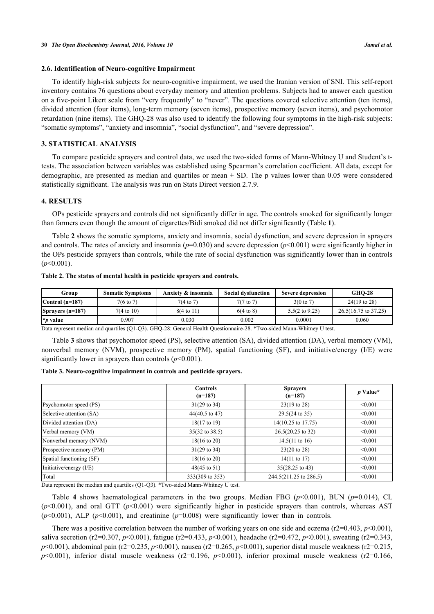#### **2.6. Identification of Neuro-cognitive Impairment**

To identify high-risk subjects for neuro-cognitive impairment, we used the Iranian version of SNI. This self-report inventory contains 76 questions about everyday memory and attention problems. Subjects had to answer each question on a five-point Likert scale from "very frequently" to "never". The questions covered selective attention (ten items), divided attention (four items), long-term memory (seven items), prospective memory (seven items), and psychomotor retardation (nine items). The GHQ-28 was also used to identify the following four symptoms in the high-risk subjects: "somatic symptoms", "anxiety and insomnia", "social dysfunction", and "severe depression".

# **3. STATISTICAL ANALYSIS**

To compare pesticide sprayers and control data, we used the two-sided forms of Mann-Whitney U and Student's ttests. The association between variables was established using Spearman's correlation coefficient. All data, except for demographic, are presented as median and quartiles or mean  $\pm$  SD. The p values lower than 0.05 were considered statistically significant. The analysis was run on Stats Direct version 2.7.9.

## **4. RESULTS**

OPs pesticide sprayers and controls did not significantly differ in age. The controls smoked for significantly longer than farmers even though the amount of cigarettes/Bidi smoked did not differ significantly (Table **[1](#page-2-0)**).

Table **[2](#page-3-0)** shows the somatic symptoms, anxiety and insomnia, social dysfunction, and severe depression in sprayers and controls. The rates of anxiety and insomnia ( $p=0.030$ ) and severe depression ( $p<0.001$ ) were significantly higher in the OPs pesticide sprayers than controls, while the rate of social dysfunction was significantly lower than in controls (*p*<0.001).

<span id="page-3-0"></span>

|  | Table 2. The status of mental health in pesticide sprayers and controls. |
|--|--------------------------------------------------------------------------|
|--|--------------------------------------------------------------------------|

| Group                     | <b>Somatic Symptoms</b> | Anxiety & insomnia    | <b>Social dysfunction</b> | Severe depression         | <b>GHO-28</b>                   |
|---------------------------|-------------------------|-----------------------|---------------------------|---------------------------|---------------------------------|
| $\lfloor$ Control (n=187) | $7(6 \text{ to } 7)$    | $7(4 \text{ to } 7)$  | $7(7 \text{ to } 7)$      | $3(0 \text{ to } 7)$      | $24(19 \text{ to } 28)$         |
| $Sprayers (n=187)$        | $7(4 \text{ to } 10)$   | $8(4 \text{ to } 11)$ | $6(4 \text{ to } 8)$      | $5.5(2 \text{ to } 9.25)$ | $26.5(16.75 \text{ to } 37.25)$ |
| $\mathbf{p}$ value        | 0.907                   | 0.030                 | 0.002                     | 0.0001                    | 0.060                           |

Data represent median and quartiles (Q1-Q3). GHQ-28: General Health Questionnaire-28. \*Two-sided Mann-Whitney U test.

Table **[3](#page-3-1)** shows that psychomotor speed (PS), selective attention (SA), divided attention (DA), verbal memory (VM), nonverbal memory (NVM), prospective memory (PM), spatial functioning (SF), and initiative/energy (I/E) were significantly lower in sprayers than controls  $(p<0.001)$ .

<span id="page-3-1"></span>

|  |  |  | Table 3. Neuro-cognitive impairment in controls and pesticide sprayers. |
|--|--|--|-------------------------------------------------------------------------|
|  |  |  |                                                                         |

|                          | <b>Controls</b><br>$(n=187)$ | <b>Sprayers</b><br>$(n=187)$ | $p$ Value* |
|--------------------------|------------------------------|------------------------------|------------|
| Psychomotor speed (PS)   | $31(29 \text{ to } 34)$      | $23(19 \text{ to } 28)$      | < 0.001    |
| Selective attention (SA) | $44(40.5 \text{ to } 47)$    | $29.5(24 \text{ to } 35)$    | < 0.001    |
| Divided attention (DA)   | 18(17 to 19)                 | 14(10.25 to 17.75)           | < 0.001    |
| Verbal memory (VM)       | 35(32 to 38.5)               | 26.5(20.25 to 32)            | < 0.001    |
| Nonverbal memory (NVM)   | $18(16 \text{ to } 20)$      | $14.5(11 \text{ to } 16)$    | < 0.001    |
| Prospective memory (PM)  | $31(29 \text{ to } 34)$      | 23(20 to 28)                 | < 0.001    |
| Spatial functioning (SF) | $18(16 \text{ to } 20)$      | $14(11 \text{ to } 17)$      | < 0.001    |
| Initiative/energy (I/E)  | 48(45 to 51)                 | 35(28.25 to 43)              | < 0.001    |
| Total                    | 333(309 to 353)              | 244.5(211.25 to 286.5)       | < 0.001    |

Data represent the median and quartiles (Q1-Q3). \*Two-sided Mann-Whitney U test.

Table4 shows haematological parameters in the two groups. Median FBG  $(p<0.001)$ , BUN  $(p=0.014)$ , CL  $(p<0.001)$ , and oral GTT ( $p<0.001$ ) were significantly higher in pesticide sprayers than controls, whereas AST  $(p<0.001)$ , ALP  $(p<0.001)$ , and creatinine  $(p=0.008)$  were significantly lower than in controls.

There was a positive correlation between the number of working years on one side and eczema ( $r2=0.403$ ,  $p<0.001$ ), saliva secretion (r2=0.307, *p*<0.001), fatigue (r2=0.433, *p*<0.001), headache (r2=0.472, *p*<0.001), sweating (r2=0.343, *p*<0.001), abdominal pain (r2=0.235, *p*<0.001), nausea (r2=0.265, *p*<0.001), superior distal muscle weakness (r2=0.215, *p*<0.001), inferior distal muscle weakness (r2=0.196, *p*<0.001), inferior proximal muscle weakness (r2=0.166,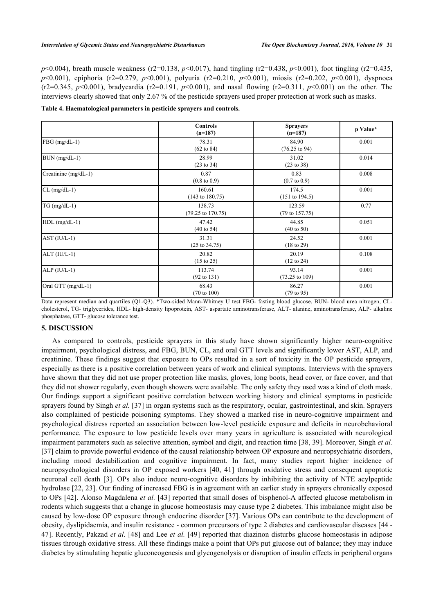*p*<0.004), breath muscle weakness (r2=0.138, *p*<0.017), hand tingling (r2=0.438, *p*<0.001), foot tingling (r2=0.435, *p*<0.001), epiphoria (r2=0.279, *p*<0.001), polyuria (r2=0.210, *p*<0.001), miosis (r2=0.202, *p*<0.001), dyspnoea (r2=0.345, *p*<0.001), bradycardia (r2=0.191, *p*<0.001), and nasal flowing (r2=0.311, *p*<0.001) on the other. The interviews clearly showed that only 2.67 % of the pesticide sprayers used proper protection at work such as masks.

<span id="page-4-0"></span>**Table 4. Haematological parameters in pesticide sprayers and controls.**

|                      | <b>Controls</b><br>$(n=187)$           | <b>Sprayers</b><br>$(n=187)$        | p Value* |
|----------------------|----------------------------------------|-------------------------------------|----------|
| $FBG$ (mg/dL-1)      | 78.31<br>$(62 \text{ to } 84)$         | 84.90<br>$(76.25 \text{ to } 94)$   | 0.001    |
| $BUN (mg/dL-1)$      | 28.99<br>(23 to 34)                    | 31.02<br>(23 to 38)                 | 0.014    |
| Creatinine (mg/dL-1) | 0.87<br>$(0.8 \text{ to } 0.9)$        | 0.83<br>$(0.7 \text{ to } 0.9)$     | 0.008    |
| $CL$ (mg/dL-1)       | 160.61<br>$(143 \text{ to } 180.75)$   | 174.5<br>(151 to 194.5)             | 0.001    |
| $TG$ (mg/dL-1)       | 138.73<br>$(79.25 \text{ to } 170.75)$ | 123.59<br>$(79 \text{ to } 157.75)$ | 0.77     |
| $HDL$ (mg/dL-1)      | 47.42<br>$(40 \text{ to } 54)$         | 44.85<br>$(40 \text{ to } 50)$      | 0.051    |
| $AST (IU/L-1)$       | 31.31<br>$(25 \text{ to } 34.75)$      | 24.52<br>$(18 \text{ to } 29)$      | 0.001    |
| $ALT (IU/L-1)$       | 20.82<br>$(15 \text{ to } 25)$         | 20.19<br>$(12 \text{ to } 24)$      | 0.108    |
| $ALP (IU/L-1)$       | 113.74<br>$(92 \text{ to } 131)$       | 93.14<br>$(73.25 \text{ to } 109)$  | 0.001    |
| Oral GTT $(mg/dL-1)$ | 68.43<br>$(70 \text{ to } 100)$        | 86.27<br>(79 to 95)                 | 0.001    |

Data represent median and quartiles (Q1-Q3). \*Two-sided Mann-Whitney U test FBG- fasting blood glucose, BUN- blood urea nitrogen, CLcholesterol, TG- triglycerides, HDL- high-density lipoprotein, AST- aspartate aminotransferase, ALT- alanine, aminotransferase, ALP- alkaline phosphatase, GTT- glucose tolerance test.

#### **5. DISCUSSION**

As compared to controls, pesticide sprayers in this study have shown significantly higher neuro-cognitive impairment, psychological distress, and FBG, BUN, CL, and oral GTT levels and significantly lower AST, ALP, and creatinine. These findings suggest that exposure to OPs resulted in a sort of toxicity in the OP pesticide sprayers, especially as there is a positive correlation between years of work and clinical symptoms. Interviews with the sprayers have shown that they did not use proper protection like masks, gloves, long boots, head cover, or face cover, and that they did not shower regularly, even though showers were available. The only safety they used was a kind of cloth mask. Our findings support a significant positive correlation between working history and clinical symptoms in pesticide sprayers found by Singh *et al.* [\[37](#page-7-1)] in organ systems such as the respiratory, ocular, gastrointestinal, and skin. Sprayers also complained of pesticide poisoning symptoms. They showed a marked rise in neuro-cognitive impairment and psychological distress reported an association between low-level pesticide exposure and deficits in neurobehavioral performance. The exposure to low pesticide levels over many years in agriculture is associated with neurological impairment parameters such as selective attention, symbol and digit, and reaction time [\[38](#page-7-2), [39\]](#page-7-3). Moreover, Singh *et al.* [\[37](#page-7-1)] claim to provide powerful evidence of the causal relationship between OP exposure and neuropsychiatric disorders, including mood destabilization and cognitive impairment. In fact, many studies report higher incidence of neuropsychological disorders in OP exposed workers[[40,](#page-7-4) [41](#page-7-5)] through oxidative stress and consequent apoptotic neuronal cell death [\[3\]](#page-5-2). OPs also induce neuro-cognitive disorders by inhibiting the activity of NTE acylpeptide hydrolase [[22](#page-6-6), [23](#page-6-7)]. Our finding of increased FBG is in agreement with an earlier study in sprayers chronically exposed to OPs [\[42\]](#page-7-6). Alonso Magdalena *et al.* [[43](#page-7-7)] reported that small doses of bisphenol-A affected glucose metabolism in rodents which suggests that a change in glucose homeostasis may cause type 2 diabetes. This imbalance might also be caused by low-dose OP exposure through endocrine disorder [\[37\]](#page-7-1). Various OPs can contribute to the development of obesity, dyslipidaemia, and insulin resistance - common precursors of type 2 diabetes and cardiovascular diseases [[44](#page-7-8) - [47\]](#page-7-9). Recently, Pakzad *et al.* [\[48\]](#page-7-10) and Lee *et al.* [[49](#page-7-11)] reported that diazinon disturbs glucose homeostasis in adipose tissues through oxidative stress. All these findings make a point that OPs put glucose out of balance; they may induce diabetes by stimulating hepatic gluconeogenesis and glycogenolysis or disruption of insulin effects in peripheral organs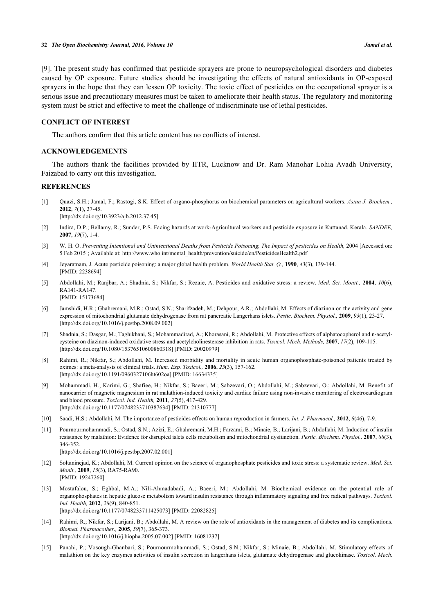[\[9](#page-5-11)]. The present study has confirmed that pesticide sprayers are prone to neuropsychological disorders and diabetes caused by OP exposure. Future studies should be investigating the effects of natural antioxidants in OP-exposed sprayers in the hope that they can lessen OP toxicity. The toxic effect of pesticides on the occupational sprayer is a serious issue and precautionary measures must be taken to ameliorate their health status. The regulatory and monitoring system must be strict and effective to meet the challenge of indiscriminate use of lethal pesticides.

## **CONFLICT OF INTEREST**

The authors confirm that this article content has no conflicts of interest.

#### **ACKNOWLEDGEMENTS**

The authors thank the facilities provided by IITR, Lucknow and Dr. Ram Manohar Lohia Avadh University, Faizabad to carry out this investigation.

#### **REFERENCES**

- <span id="page-5-0"></span>[1] Quazi, S.H.; Jamal, F.; Rastogi, S.K. Effect of organo-phosphorus on biochemical parameters on agricultural workers. *Asian J. Biochem.,* **2012**, *7*(1), 37-45. [\[http://dx.doi.org/10.3923/ajb.2012.37.45\]](http://dx.doi.org/10.3923/ajb.2012.37.45)
- <span id="page-5-1"></span>[2] Indira, D.P.; Bellamy, R.; Sunder, P.S. Facing hazards at work-Agricultural workers and pesticide exposure in Kuttanad. Kerala. *SANDEE,* **2007**, *19*(7), 1-4.
- <span id="page-5-2"></span>[3] W. H. O. Preventing Intentional and Unintentional Deaths from Pesticide Poisoning. The Impact of pesticides on Health, 2004 [Accessed on: 5 Feb 2015]; Available at: [http://www.who.int/mental\\_health/prevention/suicide/en/PesticidesHealth2.pdf](http://www.who.int/mental_health/prevention/suicide/en/PesticidesHealth2.pdf)
- <span id="page-5-3"></span>[4] Jeyaratnam, J. Acute pesticide poisoning: a major global health problem. *World Health Stat. Q.,* **1990**, *43*(3), 139-144. [PMID: [2238694\]](http://www.ncbi.nlm.nih.gov/pubmed/2238694)
- <span id="page-5-4"></span>[5] Abdollahi, M.; Ranjbar, A.; Shadnia, S.; Nikfar, S.; Rezaie, A. Pesticides and oxidative stress: a review. *Med. Sci. Monit.,* **2004**, *10*(6), RA141-RA147. [PMID: [15173684\]](http://www.ncbi.nlm.nih.gov/pubmed/15173684)
- [6] Jamshidi, H.R.; Ghahremani, M.R.; Ostad, S.N.; Sharifzadeh, M.; Dehpour, A.R.; Abdollahi, M. Effects of diazinon on the activity and gene expression of mitochondrial glutamate dehydrogenase from rat pancreatic Langerhans islets. *Pestic. Biochem. Physiol.,* **2009**, *93*(1), 23-27. [\[http://dx.doi.org/10.1016/j.pestbp.2008.09.002\]](http://dx.doi.org/10.1016/j.pestbp.2008.09.002)
- [7] Shadnia, S.; Dasgar, M.; Taghikhani, S.; Mohammadirad, A.; Khorasani, R.; Abdollahi, M. Protective effects of alphatocopherol and n-acetylcysteine on diazinon-induced oxidative stress and acetylcholinesterase inhibition in rats. *Toxicol. Mech. Methods,* **2007**, *17*(2), 109-115. [\[http://dx.doi.org/10.1080/15376510600860318\]](http://dx.doi.org/10.1080/15376510600860318) [PMID: [20020979](http://www.ncbi.nlm.nih.gov/pubmed/20020979)]
- [8] Rahimi, R.; Nikfar, S.; Abdollahi, M. Increased morbidity and mortality in acute human organophosphate-poisoned patients treated by oximes: a meta-analysis of clinical trials. *Hum. Exp. Toxicol.,* **2006**, *25*(3), 157-162. [\[http://dx.doi.org/10.1191/0960327106ht602oa\]](http://dx.doi.org/10.1191/0960327106ht602oa) [PMID: [16634335](http://www.ncbi.nlm.nih.gov/pubmed/16634335)]
- <span id="page-5-11"></span>[9] Mohammadi, H.; Karimi, G.; Shafiee, H.; Nikfar, S.; Baeeri, M.; Sabzevari, O.; Abdollahi, M.; Sabzevari, O.; Abdollahi, M. Benefit of nanocarrier of magnetic magnesium in rat malathion-induced toxicity and cardiac failure using non-invasive monitoring of electrocardiogram and blood pressure. *Toxicol. Ind. Health,* **2011**, *27*(5), 417-429. [\[http://dx.doi.org/10.1177/0748233710387634\]](http://dx.doi.org/10.1177/0748233710387634) [PMID: [21310777](http://www.ncbi.nlm.nih.gov/pubmed/21310777)]
- <span id="page-5-5"></span>[10] Saadi, H.S.; Abdollahi, M. The importance of pesticides effects on human reproduction in farmers. *Int. J. Pharmacol.,* **2012**, *8*(46), 7-9.
- <span id="page-5-6"></span>[11] Pournourmohammadi, S.; Ostad, S.N.; Azizi, E.; Ghahremani, M.H.; Farzami, B.; Minaie, B.; Larijani, B.; Abdollahi, M. Induction of insulin resistance by malathion: Evidence for disrupted islets cells metabolism and mitochondrial dysfunction. *Pestic. Biochem. Physiol.,* **2007**, *88*(3), 346-352.

[\[http://dx.doi.org/10.1016/j.pestbp.2007.02.001\]](http://dx.doi.org/10.1016/j.pestbp.2007.02.001)

- <span id="page-5-7"></span>[12] Soltaninejad, K.; Abdollahi, M. Current opinion on the science of organophosphate pesticides and toxic stress: a systematic review. *Med. Sci. Monit.,* **2009**, *15*(3), RA75-RA90. [PMID: [19247260\]](http://www.ncbi.nlm.nih.gov/pubmed/19247260)
- <span id="page-5-8"></span>[13] Mostafalou, S.; Eghbal, M.A.; Nili-Ahmadabadi, A.; Baeeri, M.; Abdollahi, M. Biochemical evidence on the potential role of organophosphates in hepatic glucose metabolism toward insulin resistance through inflammatory signaling and free radical pathways. *Toxicol. Ind. Health,* **2012**, *28*(9), 840-851. [\[http://dx.doi.org/10.1177/0748233711425073\]](http://dx.doi.org/10.1177/0748233711425073) [PMID: [22082825](http://www.ncbi.nlm.nih.gov/pubmed/22082825)]
- <span id="page-5-9"></span>[14] Rahimi, R.; Nikfar, S.; Larijani, B.; Abdollahi, M. A review on the role of antioxidants in the management of diabetes and its complications. *Biomed. Pharmacother.,* **2005**, *59*(7), 365-373. [\[http://dx.doi.org/10.1016/j.biopha.2005.07.002\]](http://dx.doi.org/10.1016/j.biopha.2005.07.002) [PMID: [16081237](http://www.ncbi.nlm.nih.gov/pubmed/16081237)]
- <span id="page-5-10"></span>[15] Panahi, P.; Vosough-Ghanbari, S.; Pournourmohammadi, S.; Ostad, S.N.; Nikfar, S.; Minaie, B.; Abdollahi, M. Stimulatory effects of malathion on the key enzymes activities of insulin secretion in langerhans islets, glutamate dehydrogenase and glucokinase. *Toxicol. Mech.*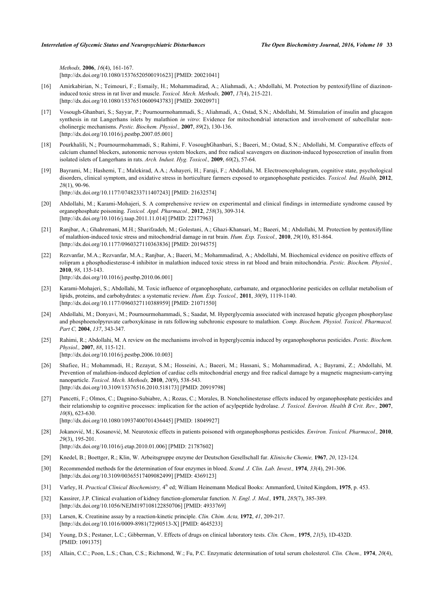*Methods,* **2006**, *16*(4), 161-167. [\[http://dx.doi.org/10.1080/15376520500191623\]](http://dx.doi.org/10.1080/15376520500191623) [PMID: [20021041](http://www.ncbi.nlm.nih.gov/pubmed/20021041)]

- <span id="page-6-0"></span>[16] Amirkabirian, N.; Teimouri, F.; Esmaily, H.; Mohammadirad, A.; Aliahmadi, A.; Abdollahi, M. Protection by pentoxifylline of diazinoninduced toxic stress in rat liver and muscle. *Toxicol. Mech. Methods,* **2007**, *17*(4), 215-221. [\[http://dx.doi.org/10.1080/15376510600943783\]](http://dx.doi.org/10.1080/15376510600943783) [PMID: [20020971](http://www.ncbi.nlm.nih.gov/pubmed/20020971)]
- <span id="page-6-1"></span>[17] Vosough-Ghanbari, S.; Sayyar, P.; Pournourmohammadi, S.; Aliahmadi, A.; Ostad, S.N.; Abdollahi, M. Stimulation of insulin and glucagon synthesis in rat Langerhans islets by malathion *in vitro*: Evidence for mitochondrial interaction and involvement of subcellular noncholinergic mechanisms. *Pestic. Biochem. Physiol.,* **2007**, *89*(2), 130-136. [\[http://dx.doi.org/10.1016/j.pestbp.2007.05.001\]](http://dx.doi.org/10.1016/j.pestbp.2007.05.001)
- <span id="page-6-2"></span>[18] Pourkhalili, N.; Pournourmohammadi, S.; Rahimi, F. VosoughGhanbari, S.; Baeeri, M.; Ostad, S.N.; Abdollahi, M. Comparative effects of calcium channel blockers, autonomic nervous system blockers, and free radical scavengers on diazinon-induced hyposecretion of insulin from isolated islets of Langerhans in rats. *Arch. Indust. Hyg. Toxicol.,* **2009**, *60*(2), 57-64.
- <span id="page-6-3"></span>[19] Bayrami, M.; Hashemi, T.; Malekirad, A.A.; Ashayeri, H.; Faraji, F.; Abdollahi, M. Electroencephalogram, cognitive state, psychological disorders, clinical symptom, and oxidative stress in horticulture farmers exposed to organophosphate pesticides. *Toxicol. Ind. Health,* **2012**, *28*(1), 90-96.

[\[http://dx.doi.org/10.1177/0748233711407243\]](http://dx.doi.org/10.1177/0748233711407243) [PMID: [21632574](http://www.ncbi.nlm.nih.gov/pubmed/21632574)]

- <span id="page-6-4"></span>[20] Abdollahi, M.; Karami-Mohajeri, S. A comprehensive review on experimental and clinical findings in intermediate syndrome caused by organophosphate poisoning. *Toxicol. Appl. Pharmacol.,* **2012**, *258*(3), 309-314. [\[http://dx.doi.org/10.1016/j.taap.2011.11.014](http://dx.doi.org/10.1016/j.taap.2011.11.014)] [PMID: [22177963\]](http://www.ncbi.nlm.nih.gov/pubmed/22177963)
- <span id="page-6-5"></span>[21] Ranjbar, A.; Ghahremani, M.H.; Sharifzadeh, M.; Golestani, A.; Ghazi-Khansari, M.; Baeeri, M.; Abdollahi, M. Protection by pentoxifylline of malathion-induced toxic stress and mitochondrial damage in rat brain. *Hum. Exp. Toxicol.,* **2010**, *29*(10), 851-864. [\[http://dx.doi.org/10.1177/0960327110363836\]](http://dx.doi.org/10.1177/0960327110363836) [PMID: [20194575](http://www.ncbi.nlm.nih.gov/pubmed/20194575)]
- <span id="page-6-6"></span>[22] Rezvanfar, M.A.; Rezvanfar, M.A.; Ranjbar, A.; Baeeri, M.; Mohammadirad, A.; Abdollahi, M. Biochemical evidence on positive effects of rolipram a phosphodiesterase-4 inhibitor in malathion induced toxic stress in rat blood and brain mitochondria. *Pestic. Biochem. Physiol.,* **2010**, *98*, 135-143. [\[http://dx.doi.org/10.1016/j.pestbp.2010.06.001\]](http://dx.doi.org/10.1016/j.pestbp.2010.06.001)
- <span id="page-6-7"></span>[23] Karami-Mohajeri, S.; Abdollahi, M. Toxic influence of organophosphate, carbamate, and organochlorine pesticides on cellular metabolism of lipids, proteins, and carbohydrates: a systematic review. *Hum. Exp. Toxicol.,* **2011**, *30*(9), 1119-1140. [\[http://dx.doi.org/10.1177/0960327110388959\]](http://dx.doi.org/10.1177/0960327110388959) [PMID: [21071550](http://www.ncbi.nlm.nih.gov/pubmed/21071550)]
- <span id="page-6-8"></span>[24] Abdollahi, M.; Donyavi, M.; Pournourmohammadi, S.; Saadat, M. Hyperglycemia associated with increased hepatic glycogen phosphorylase and phosphoenolpyruvate carboxykinase in rats following subchronic exposure to malathion. *Comp. Biochem. Physiol. Toxicol. Pharmacol. Part C,* **2004**, *137*, 343-347.
- <span id="page-6-9"></span>[25] Rahimi, R.; Abdollahi, M. A review on the mechanisms involved in hyperglycemia induced by organophosphorus pesticides. *Pestic. Biochem. Physiol.,* **2007**, *88*, 115-121. [\[http://dx.doi.org/10.1016/j.pestbp.2006.10.003\]](http://dx.doi.org/10.1016/j.pestbp.2006.10.003)
- <span id="page-6-10"></span>[26] Shafiee, H.; Mohammadi, H.; Rezayat, S.M.; Hosseini, A.; Baeeri, M.; Hassani, S.; Mohammadirad, A.; Bayrami, Z.; Abdollahi, M. Prevention of malathion-induced depletion of cardiac cells mitochondrial energy and free radical damage by a magnetic magnesium-carrying nanoparticle. *Toxicol. Mech. Methods,* **2010**, *20*(9), 538-543. [\[http://dx.doi.org/10.3109/15376516.2010.518173\]](http://dx.doi.org/10.3109/15376516.2010.518173) [PMID: [20919798](http://www.ncbi.nlm.nih.gov/pubmed/20919798)]
- <span id="page-6-11"></span>[27] Pancetti, F.; Olmos, C.; Dagnino-Subiabre, A.; Rozas, C.; Morales, B. Noncholinesterase effects induced by organophosphate pesticides and their relationship to cognitive processes: implication for the action of acylpeptide hydrolase. *J. Toxicol. Environ. Health B Crit. Rev.,* **2007**, *10*(8), 623-630. [\[http://dx.doi.org/10.1080/10937400701436445\]](http://dx.doi.org/10.1080/10937400701436445) [PMID: [18049927](http://www.ncbi.nlm.nih.gov/pubmed/18049927)]
- <span id="page-6-12"></span>[28] Jokanović, M.; Kosanović, M. Neurotoxic effects in patients poisoned with organophosphorus pesticides. *Environ. Toxicol. Pharmacol.,* **2010**, *29*(3), 195-201. [\[http://dx.doi.org/10.1016/j.etap.2010.01.006](http://dx.doi.org/10.1016/j.etap.2010.01.006)] [PMID: [21787602\]](http://www.ncbi.nlm.nih.gov/pubmed/21787602)
- <span id="page-6-13"></span>[29] Knedel, B.; Boettger, R.; Klin, W. Arbeitsgruppe enzyme der Deutschon Gesellschall fur. *Klinische Chemie,* **1967**, *20*, 123-124.
- <span id="page-6-14"></span>[30] Recommended methods for the determination of four enzymes in blood. *Scand. J. Clin. Lab. Invest.,* **1974**, *33*(4), 291-306. [\[http://dx.doi.org/10.3109/00365517409082499\]](http://dx.doi.org/10.3109/00365517409082499) [PMID: [4369123](http://www.ncbi.nlm.nih.gov/pubmed/4369123)]
- <span id="page-6-15"></span>[31] Varley, H. *Practical Clinical Biochemistry*,  $4^{\text{th}}$  ed; William Heinemann Medical Books: Ammanford, United Kingdom, 1975, p. 453.
- <span id="page-6-16"></span>[32] Kassirer, J.P. Clinical evaluation of kidney function-glomerular function. *N. Engl. J. Med.,* **1971**, *285*(7), 385-389. [\[http://dx.doi.org/10.1056/NEJM197108122850706\]](http://dx.doi.org/10.1056/NEJM197108122850706) [PMID: [4933769](http://www.ncbi.nlm.nih.gov/pubmed/4933769)]
- <span id="page-6-17"></span>[33] Larsen, K. Creatinine assay by a reaction-kinetic principle. *Clin. Chim. Acta,* **1972**, *41*, 209-217. [\[http://dx.doi.org/10.1016/0009-8981\(72\)90513-X](http://dx.doi.org/10.1016/0009-8981(72)90513-X)] [PMID: [4645233\]](http://www.ncbi.nlm.nih.gov/pubmed/4645233)
- <span id="page-6-18"></span>[34] Young, D.S.; Pestaner, L.C.; Gibberman, V. Effects of drugs on clinical laboratory tests. *Clin. Chem.,* **1975**, *21*(5), 1D-432D. [PMID: [1091375\]](http://www.ncbi.nlm.nih.gov/pubmed/1091375)
- <span id="page-6-19"></span>[35] Allain, C.C.; Poon, L.S.; Chan, C.S.; Richmond, W.; Fu, P.C. Enzymatic determination of total serum cholesterol. *Clin. Chem.,* **1974**, *20*(4),